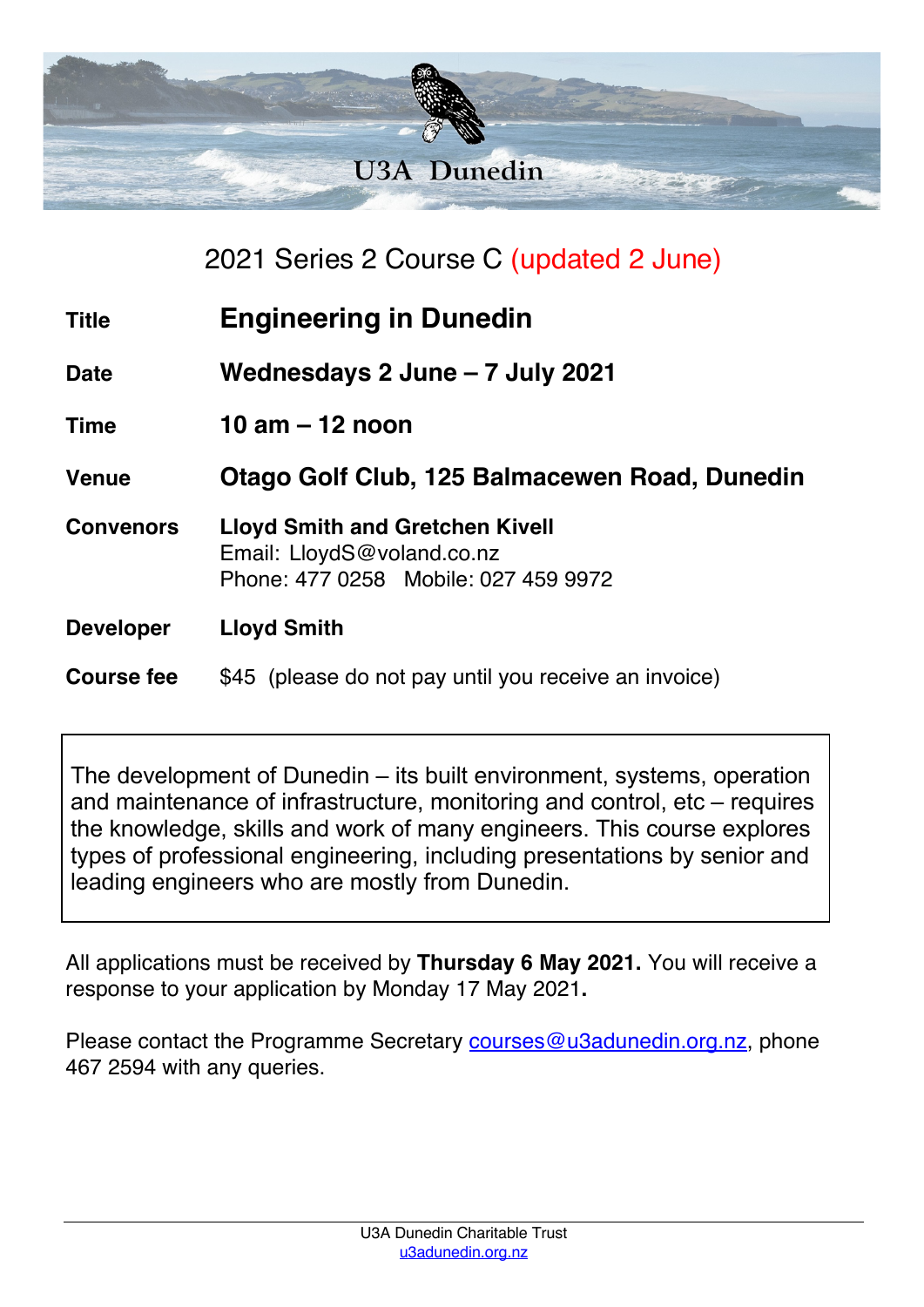

|                   | 2021 Series 2 Course C (updated 2 June)                                                                      |
|-------------------|--------------------------------------------------------------------------------------------------------------|
| <b>Title</b>      | <b>Engineering in Dunedin</b>                                                                                |
| <b>Date</b>       | Wednesdays 2 June - 7 July 2021                                                                              |
| <b>Time</b>       | 10 am $-$ 12 noon                                                                                            |
| <b>Venue</b>      | Otago Golf Club, 125 Balmacewen Road, Dunedin                                                                |
| <b>Convenors</b>  | <b>Lloyd Smith and Gretchen Kivell</b><br>Email: LloydS@voland.co.nz<br>Phone: 477 0258 Mobile: 027 459 9972 |
| <b>Developer</b>  | <b>Lloyd Smith</b>                                                                                           |
| <b>Course fee</b> | \$45 (please do not pay until you receive an invoice)                                                        |

The development of Dunedin – its built environment, systems, operation and maintenance of infrastructure, monitoring and control, etc – requires the knowledge, skills and work of many engineers. This course explores types of professional engineering, including presentations by senior and leading engineers who are mostly from Dunedin.

All applications must be received by **Thursday 6 May 2021.** You will receive a response to your application by Monday 17 May 2021**.**

Please contact the Programme Secretary courses@u3adunedin.org.nz, phone 467 2594 with any queries.